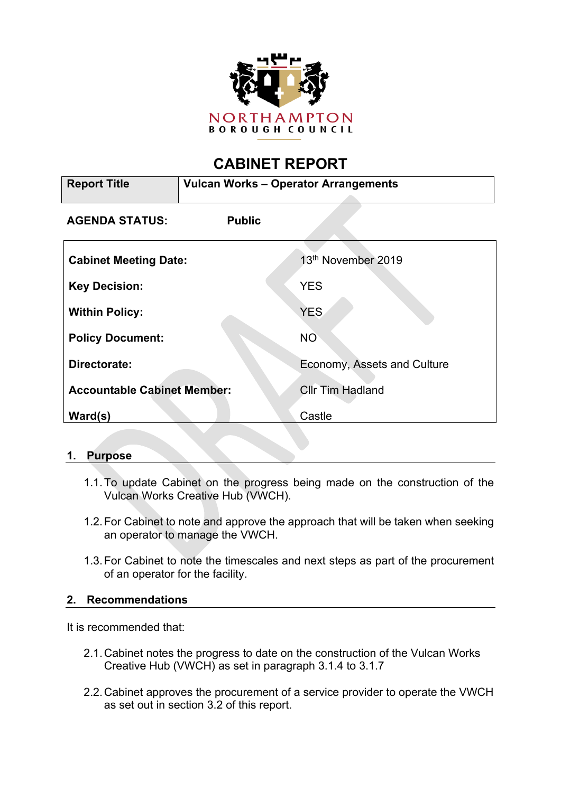

# **CABINET REPORT**

| <b>Report Title</b>                | <b>Vulcan Works - Operator Arrangements</b> |                             |
|------------------------------------|---------------------------------------------|-----------------------------|
| <b>AGENDA STATUS:</b>              | <b>Public</b>                               |                             |
| <b>Cabinet Meeting Date:</b>       |                                             | 13th November 2019          |
| <b>Key Decision:</b>               |                                             | <b>YES</b>                  |
| <b>Within Policy:</b>              |                                             | <b>YES</b>                  |
| <b>Policy Document:</b>            |                                             | <b>NO</b>                   |
| Directorate:                       |                                             | Economy, Assets and Culture |
| <b>Accountable Cabinet Member:</b> |                                             | <b>Cllr Tim Hadland</b>     |
| Ward(s)                            |                                             | Castle                      |

# **1. Purpose**

- 1.1.To update Cabinet on the progress being made on the construction of the Vulcan Works Creative Hub (VWCH).
- 1.2.For Cabinet to note and approve the approach that will be taken when seeking an operator to manage the VWCH.
- 1.3.For Cabinet to note the timescales and next steps as part of the procurement of an operator for the facility.

#### **2. Recommendations**

It is recommended that:

- 2.1.Cabinet notes the progress to date on the construction of the Vulcan Works Creative Hub (VWCH) as set in paragraph 3.1.4 to 3.1.7
- 2.2.Cabinet approves the procurement of a service provider to operate the VWCH as set out in section 3.2 of this report.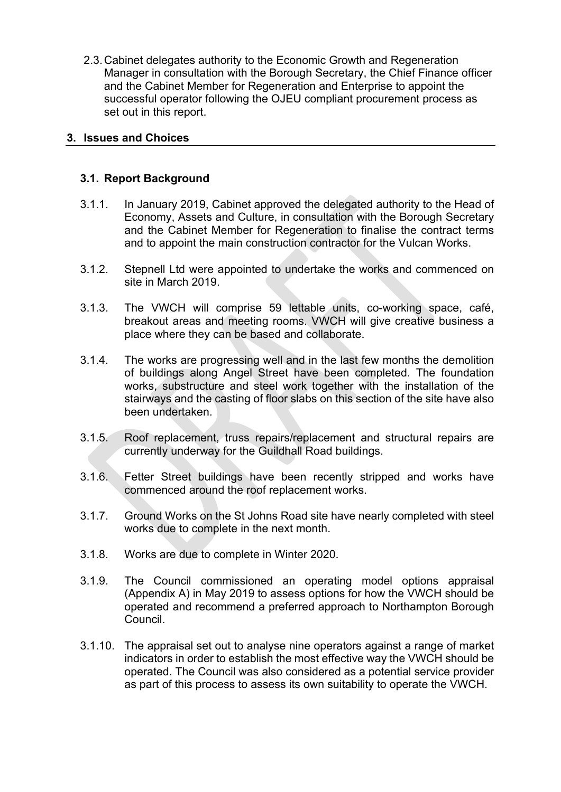2.3.Cabinet delegates authority to the Economic Growth and Regeneration Manager in consultation with the Borough Secretary, the Chief Finance officer and the Cabinet Member for Regeneration and Enterprise to appoint the successful operator following the OJEU compliant procurement process as set out in this report.

## **3. Issues and Choices**

## **3.1. Report Background**

- 3.1.1. In January 2019, Cabinet approved the delegated authority to the Head of Economy, Assets and Culture, in consultation with the Borough Secretary and the Cabinet Member for Regeneration to finalise the contract terms and to appoint the main construction contractor for the Vulcan Works.
- 3.1.2. Stepnell Ltd were appointed to undertake the works and commenced on site in March 2019.
- 3.1.3. The VWCH will comprise 59 lettable units, co-working space, café, breakout areas and meeting rooms. VWCH will give creative business a place where they can be based and collaborate.
- 3.1.4. The works are progressing well and in the last few months the demolition of buildings along Angel Street have been completed. The foundation works, substructure and steel work together with the installation of the stairways and the casting of floor slabs on this section of the site have also been undertaken.
- 3.1.5. Roof replacement, truss repairs/replacement and structural repairs are currently underway for the Guildhall Road buildings.
- 3.1.6. Fetter Street buildings have been recently stripped and works have commenced around the roof replacement works.
- 3.1.7. Ground Works on the St Johns Road site have nearly completed with steel works due to complete in the next month.
- 3.1.8. Works are due to complete in Winter 2020.
- 3.1.9. The Council commissioned an operating model options appraisal (Appendix A) in May 2019 to assess options for how the VWCH should be operated and recommend a preferred approach to Northampton Borough Council.
- 3.1.10. The appraisal set out to analyse nine operators against a range of market indicators in order to establish the most effective way the VWCH should be operated. The Council was also considered as a potential service provider as part of this process to assess its own suitability to operate the VWCH.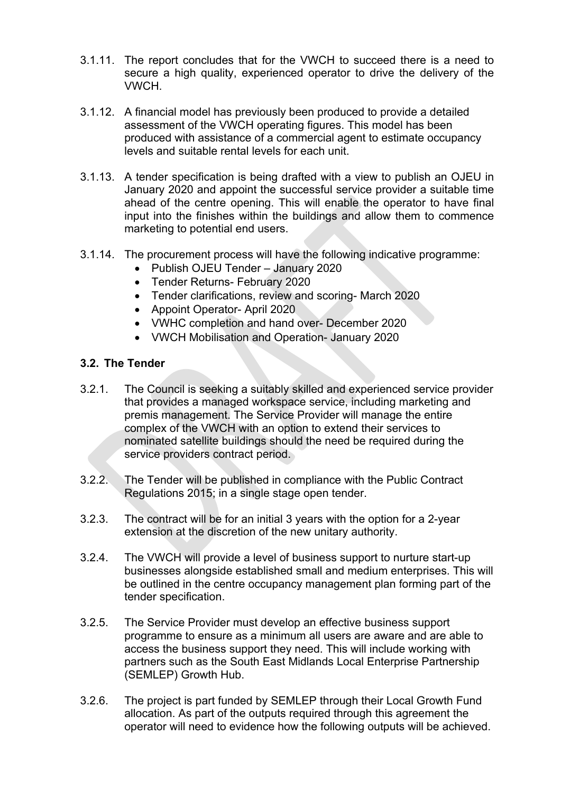- 3.1.11. The report concludes that for the VWCH to succeed there is a need to secure a high quality, experienced operator to drive the delivery of the VWCH.
- 3.1.12. A financial model has previously been produced to provide a detailed assessment of the VWCH operating figures. This model has been produced with assistance of a commercial agent to estimate occupancy levels and suitable rental levels for each unit.
- 3.1.13. A tender specification is being drafted with a view to publish an OJEU in January 2020 and appoint the successful service provider a suitable time ahead of the centre opening. This will enable the operator to have final input into the finishes within the buildings and allow them to commence marketing to potential end users.
- 3.1.14. The procurement process will have the following indicative programme:
	- Publish OJEU Tender January 2020
	- Tender Returns- February 2020
	- Tender clarifications, review and scoring- March 2020
	- Appoint Operator- April 2020
	- VWHC completion and hand over- December 2020
	- VWCH Mobilisation and Operation- January 2020

## **3.2. The Tender**

- 3.2.1. The Council is seeking a suitably skilled and experienced service provider that provides a managed workspace service, including marketing and premis management. The Service Provider will manage the entire complex of the VWCH with an option to extend their services to nominated satellite buildings should the need be required during the service providers contract period.
- 3.2.2. The Tender will be published in compliance with the Public Contract Regulations 2015; in a single stage open tender.
- 3.2.3. The contract will be for an initial 3 years with the option for a 2-year extension at the discretion of the new unitary authority.
- 3.2.4. The VWCH will provide a level of business support to nurture start-up businesses alongside established small and medium enterprises. This will be outlined in the centre occupancy management plan forming part of the tender specification.
- 3.2.5. The Service Provider must develop an effective business support programme to ensure as a minimum all users are aware and are able to access the business support they need. This will include working with partners such as the South East Midlands Local Enterprise Partnership (SEMLEP) Growth Hub.
- 3.2.6. The project is part funded by SEMLEP through their Local Growth Fund allocation. As part of the outputs required through this agreement the operator will need to evidence how the following outputs will be achieved.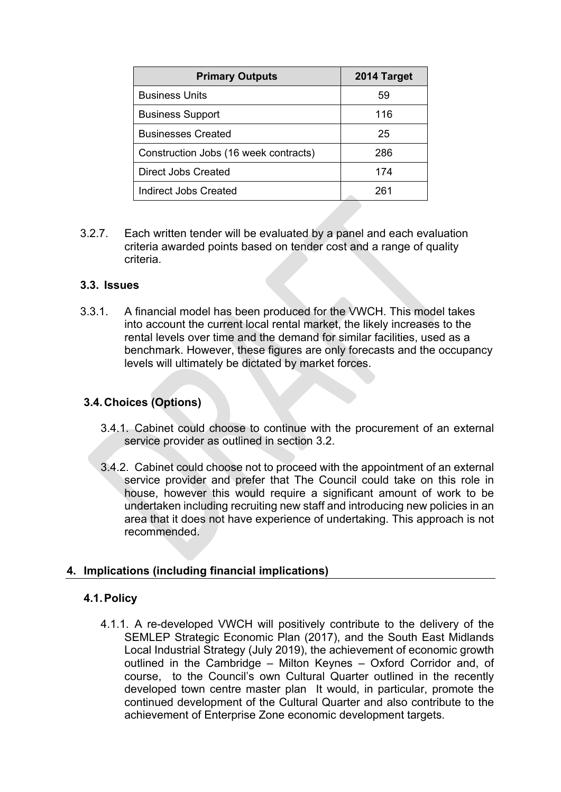| <b>Primary Outputs</b>                | 2014 Target |
|---------------------------------------|-------------|
| <b>Business Units</b>                 | 59          |
| <b>Business Support</b>               | 116         |
| <b>Businesses Created</b>             | 25          |
| Construction Jobs (16 week contracts) | 286         |
| Direct Jobs Created                   | 174         |
| Indirect Jobs Created                 | 261         |

3.2.7. Each written tender will be evaluated by a panel and each evaluation criteria awarded points based on tender cost and a range of quality criteria.

#### **3.3. Issues**

3.3.1. A financial model has been produced for the VWCH. This model takes into account the current local rental market, the likely increases to the rental levels over time and the demand for similar facilities, used as a benchmark. However, these figures are only forecasts and the occupancy levels will ultimately be dictated by market forces.

#### **3.4.Choices (Options)**

- 3.4.1. Cabinet could choose to continue with the procurement of an external service provider as outlined in section 3.2.
- 3.4.2. Cabinet could choose not to proceed with the appointment of an external service provider and prefer that The Council could take on this role in house, however this would require a significant amount of work to be undertaken including recruiting new staff and introducing new policies in an area that it does not have experience of undertaking. This approach is not recommended.

#### **4. Implications (including financial implications)**

#### **4.1.Policy**

4.1.1. A re-developed VWCH will positively contribute to the delivery of the SEMLEP Strategic Economic Plan (2017), and the South East Midlands Local Industrial Strategy (July 2019), the achievement of economic growth outlined in the Cambridge – Milton Keynes – Oxford Corridor and, of course, to the Council's own Cultural Quarter outlined in the recently developed town centre master plan It would, in particular, promote the continued development of the Cultural Quarter and also contribute to the achievement of Enterprise Zone economic development targets.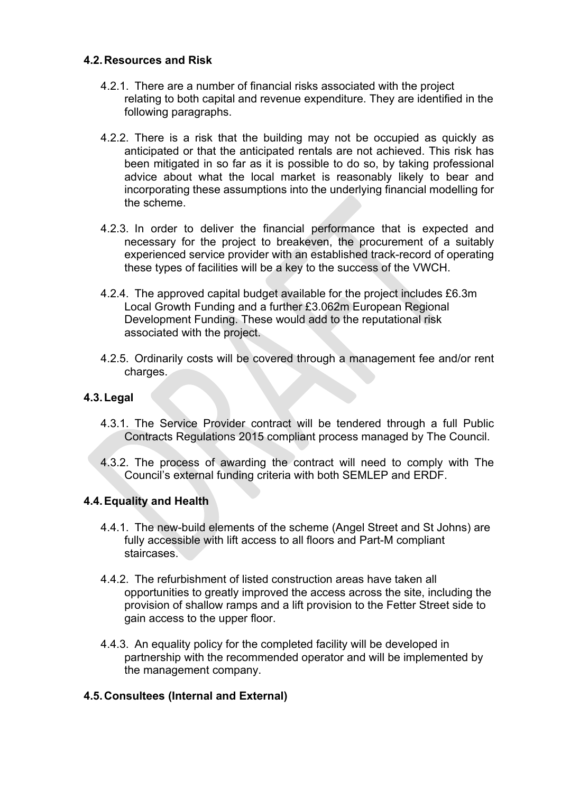#### **4.2.Resources and Risk**

- 4.2.1. There are a number of financial risks associated with the project relating to both capital and revenue expenditure. They are identified in the following paragraphs.
- 4.2.2. There is a risk that the building may not be occupied as quickly as anticipated or that the anticipated rentals are not achieved. This risk has been mitigated in so far as it is possible to do so, by taking professional advice about what the local market is reasonably likely to bear and incorporating these assumptions into the underlying financial modelling for the scheme.
- 4.2.3. In order to deliver the financial performance that is expected and necessary for the project to breakeven, the procurement of a suitably experienced service provider with an established track-record of operating these types of facilities will be a key to the success of the VWCH.
- 4.2.4. The approved capital budget available for the project includes £6.3m Local Growth Funding and a further £3.062m European Regional Development Funding. These would add to the reputational risk associated with the project.
- 4.2.5. Ordinarily costs will be covered through a management fee and/or rent charges.

# **4.3.Legal**

- 4.3.1. The Service Provider contract will be tendered through a full Public Contracts Regulations 2015 compliant process managed by The Council.
- 4.3.2. The process of awarding the contract will need to comply with The Council's external funding criteria with both SEMLEP and ERDF.

# **4.4.Equality and Health**

- 4.4.1. The new-build elements of the scheme (Angel Street and St Johns) are fully accessible with lift access to all floors and Part-M compliant staircases.
- 4.4.2. The refurbishment of listed construction areas have taken all opportunities to greatly improved the access across the site, including the provision of shallow ramps and a lift provision to the Fetter Street side to gain access to the upper floor.
- 4.4.3. An equality policy for the completed facility will be developed in partnership with the recommended operator and will be implemented by the management company.

# **4.5.Consultees (Internal and External)**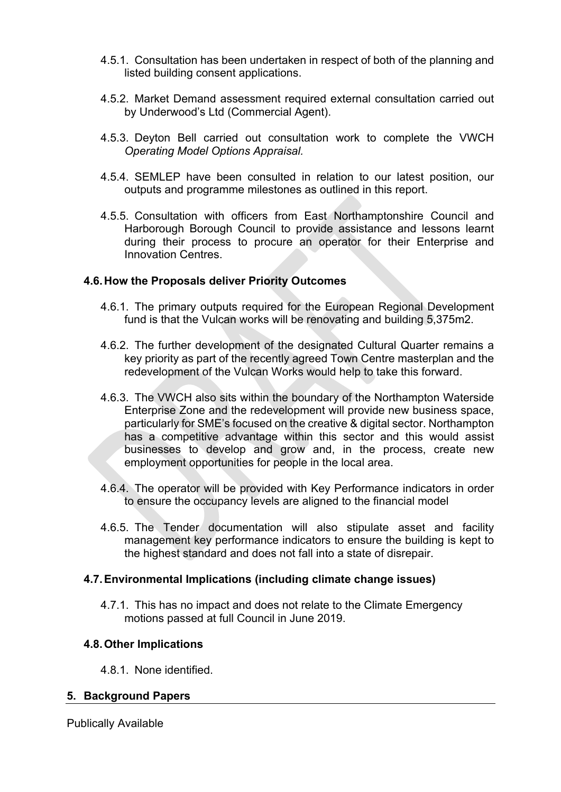- 4.5.1. Consultation has been undertaken in respect of both of the planning and listed building consent applications.
- 4.5.2. Market Demand assessment required external consultation carried out by Underwood's Ltd (Commercial Agent).
- 4.5.3. Deyton Bell carried out consultation work to complete the VWCH *Operating Model Options Appraisal.*
- 4.5.4. SEMLEP have been consulted in relation to our latest position, our outputs and programme milestones as outlined in this report.
- 4.5.5. Consultation with officers from East Northamptonshire Council and Harborough Borough Council to provide assistance and lessons learnt during their process to procure an operator for their Enterprise and Innovation Centres.

#### **4.6.How the Proposals deliver Priority Outcomes**

- 4.6.1. The primary outputs required for the European Regional Development fund is that the Vulcan works will be renovating and building 5,375m2.
- 4.6.2. The further development of the designated Cultural Quarter remains a key priority as part of the recently agreed Town Centre masterplan and the redevelopment of the Vulcan Works would help to take this forward.
- 4.6.3. The VWCH also sits within the boundary of the Northampton Waterside Enterprise Zone and the redevelopment will provide new business space, particularly for SME's focused on the creative & digital sector. Northampton has a competitive advantage within this sector and this would assist businesses to develop and grow and, in the process, create new employment opportunities for people in the local area.
- 4.6.4. The operator will be provided with Key Performance indicators in order to ensure the occupancy levels are aligned to the financial model
- 4.6.5. The Tender documentation will also stipulate asset and facility management key performance indicators to ensure the building is kept to the highest standard and does not fall into a state of disrepair.

#### **4.7.Environmental Implications (including climate change issues)**

4.7.1. This has no impact and does not relate to the Climate Emergency motions passed at full Council in June 2019.

#### **4.8.Other Implications**

4.8.1. None identified.

#### **5. Background Papers**

Publically Available